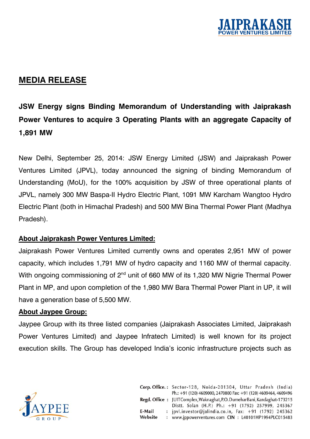

## **MEDIA RELEASE**

## **JSW Energy signs Binding Memorandum of Understanding with Jaiprakash Power Ventures to acquire 3 Operating Plants with an aggregate Capacity of 1,891 MW**

New Delhi, September 25, 2014: JSW Energy Limited (JSW) and Jaiprakash Power Ventures Limited (JPVL), today announced the signing of binding Memorandum of Understanding (MoU), for the 100% acquisition by JSW of three operational plants of JPVL, namely 300 MW Baspa-II Hydro Electric Plant, 1091 MW Karcham Wangtoo Hydro Electric Plant (both in Himachal Pradesh) and 500 MW Bina Thermal Power Plant (Madhya Pradesh).

## **About Jaiprakash Power Ventures Limited:**

Jaiprakash Power Ventures Limited currently owns and operates 2,951 MW of power capacity, which includes 1,791 MW of hydro capacity and 1160 MW of thermal capacity. With ongoing commissioning of 2<sup>nd</sup> unit of 660 MW of its 1,320 MW Nigrie Thermal Power Plant in MP, and upon completion of the 1,980 MW Bara Thermal Power Plant in UP, it will have a generation base of 5,500 MW.

## **About Jaypee Group:**

Jaypee Group with its three listed companies (Jaiprakash Associates Limited, Jaiprakash Power Ventures Limited) and Jaypee Infratech Limited) is well known for its project execution skills. The Group has developed India's iconic infrastructure projects such as



|         | Corp. Office.: Sector-128, Noida-201304, Uttar Pradesh (India)           |
|---------|--------------------------------------------------------------------------|
|         | Ph.: +91 (120) 4609000, 2470800 Fax: +91 (120) 4609464, 4609496          |
|         | Regd. Office: JUITComplex, Waknaghat, P.O. DumeharBani, Kandaghat-173215 |
|         | Distt. Solan (H.P.) Ph.: +91 (1792) 257999, 245367                       |
| E-Mail  | : jpvl.investor@jalindia.co.in, Fax: +91 (1792) 245362                   |
| Website | : www.jppowerventures.com CIN : L40101HP1994PLC015483                    |